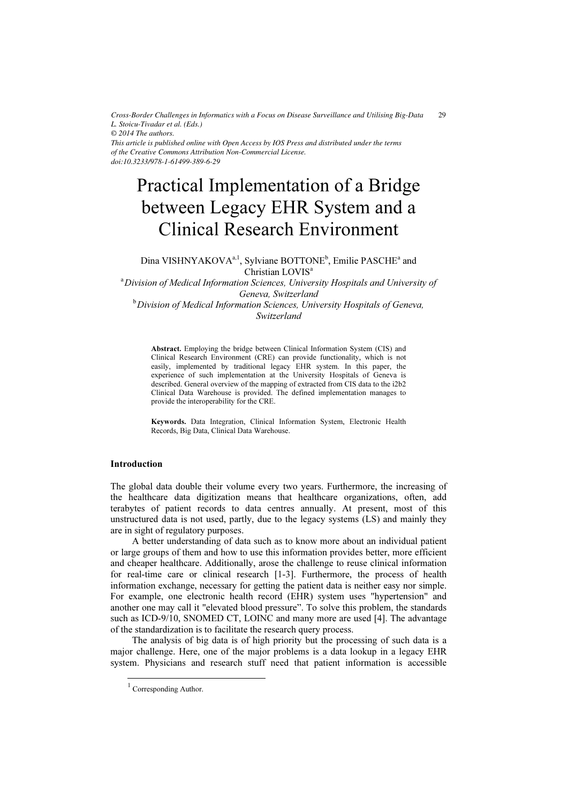*Cross-Border Challenges in Informatics with a Focus on Disease Surveillance and Utilising Big-Data L. Stoicu-Tivadar et al. (Eds.)*  $29$ 

*© 2014 The authors.*

*This article is published online with Open Access by IOS Press and distributed under the terms of the Creative Commons Attribution Non-Commercial License. doi:10.3233/978-1-61499-389-6-29*

# Practical Implementation of a Bridge between Legacy EHR System and a Clinical Research Environment

Dina VISHNYAKOVA<sup>a, 1</sup>, Sylviane BOTTONE<sup>b</sup>, Emilie PASCHE<sup>a</sup> and Christian LOVIS<sup>a</sup>

<sup>a</sup> Division of Medical Information Sciences, University Hospitals and University of Geneva, Switzerland  $^{\rm b}$ Division of Medical Information Sciences, University Hospitals of Geneva, Switzerland

Abstract. Employing the bridge between Clinical Information System (CIS) and Clinical Research Environment (CRE) can provide functionality, which is not easily, implemented by traditional legacy EHR system. In this paper, the experience of such implementation at the University Hospitals of Geneva is described. General overview of the mapping of extracted from CIS data to the i2b2 Clinical Data Warehouse is provided. The defined implementation manages to provide the interoperability for the CRE.

Keywords. Data Integration, Clinical Information System, Electronic Health Records, Big Data, Clinical Data Warehouse.

## Introduction

The global data double their volume every two years. Furthermore, the increasing of the healthcare data digitization means that healthcare organizations, often, add terabytes of patient records to data centres annually. At present, most of this unstructured data is not used, partly, due to the legacy systems (LS) and mainly they are in sight of regulatory purposes.

A better understanding of data such as to know more about an individual patient or large groups of them and how to use this information provides better, more efficient and cheaper healthcare. Additionally, arose the challenge to reuse clinical information for real-time care or clinical research [1-3]. Furthermore, the process of health information exchange, necessary for getting the patient data is neither easy nor simple. For example, one electronic health record (EHR) system uses "hypertension" and another one may call it "elevated blood pressure". To solve this problem, the standards such as ICD-9/10, SNOMED CT, LOINC and many more are used [4]. The advantage of the standardization is to facilitate the research query process.

The analysis of big data is of high priority but the processing of such data is a major challenge. Here, one of the major problems is a data lookup in a legacy EHR system. Physicians and research stuff need that patient information is accessible

-

<sup>&</sup>lt;sup>1</sup> Corresponding Author.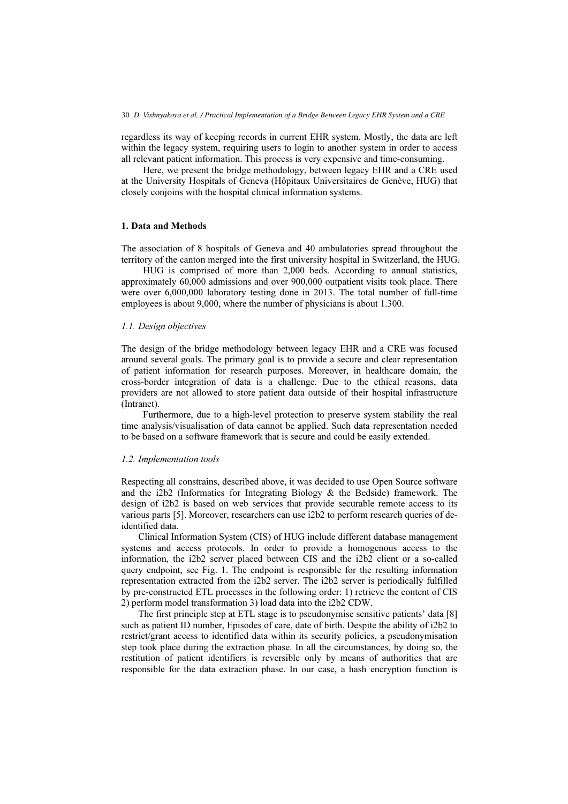regardless its way of keeping records in current EHR system. Mostly, the data are left within the legacy system, requiring users to login to another system in order to access all relevant patient information. This process is very expensive and time-consuming.

Here, we present the bridge methodology, between legacy EHR and a CRE used at the University Hospitals of Geneva (Hôpitaux Universitaires de Genève, HUG) that closely conjoins with the hospital clinical information systems.

### 1. Data and Methods

The association of 8 hospitals of Geneva and 40 ambulatories spread throughout the territory of the canton merged into the first university hospital in Switzerland, the HUG.

HUG is comprised of more than 2,000 beds. According to annual statistics, approximately 60,000 admissions and over 900,000 outpatient visits took place. There were over 6,000,000 laboratory testing done in 2013. The total number of full-time employees is about 9,000, where the number of physicians is about 1.300.

#### 1.1. Design objectives

The design of the bridge methodology between legacy EHR and a CRE was focused around several goals. The primary goal is to provide a secure and clear representation of patient information for research purposes. Moreover, in healthcare domain, the cross-border integration of data is a challenge. Due to the ethical reasons, data providers are not allowed to store patient data outside of their hospital infrastructure (Intranet).

Furthermore, due to a high-level protection to preserve system stability the real time analysis/visualisation of data cannot be applied. Such data representation needed to be based on a software framework that is secure and could be easily extended.

#### 1.2. Implementation tools

Respecting all constrains, described above, it was decided to use Open Source software and the i2b2 (Informatics for Integrating Biology & the Bedside) framework. The design of i2b2 is based on web services that provide securable remote access to its various parts [5]. Moreover, researchers can use i2b2 to perform research queries of deidentified data.

Clinical Information System (CIS) of HUG include different database management systems and access protocols. In order to provide a homogenous access to the information, the i2b2 server placed between CIS and the i2b2 client or a so-called query endpoint, see Fig. 1. The endpoint is responsible for the resulting information representation extracted from the i2b2 server. The i2b2 server is periodically fulfilled by pre-constructed ETL processes in the following order: 1) retrieve the content of CIS 2) perform model transformation 3) load data into the i2b2 CDW.

The first principle step at ETL stage is to pseudonymise sensitive patients' data [8] such as patient ID number, Episodes of care, date of birth. Despite the ability of i2b2 to restrict/grant access to identified data within its security policies, a pseudonymisation step took place during the extraction phase. In all the circumstances, by doing so, the restitution of patient identifiers is reversible only by means of authorities that are responsible for the data extraction phase. In our case, a hash encryption function is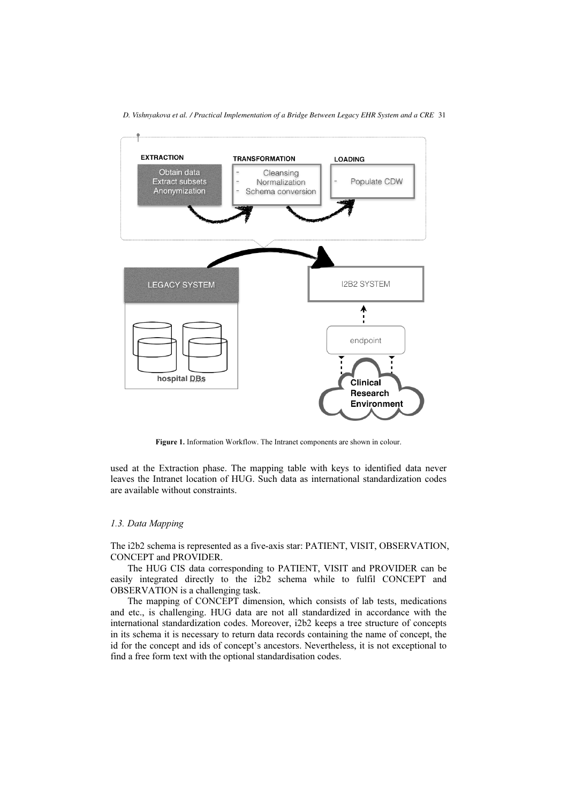*D. Vishnyakova et al. / Practical Implementation of a Bridge Between Legacy EHR System and a CRE* 31



Figure 1. Information Workflow. The Intranet components are shown in colour.

used at the Extraction phase. The mapping table with keys to identified data never leaves the Intranet location of HUG. Such data as international standardization codes are available without constraints.

#### 1.3. Data Mapping

The i2b2 schema is represented as a five-axis star: PATIENT, VISIT, OBSERVATION, CONCEPT and PROVIDER.

The HUG CIS data corresponding to PATIENT, VISIT and PROVIDER can be easily integrated directly to the i2b2 schema while to fulfil CONCEPT and OBSERVATION is a challenging task.

The mapping of CONCEPT dimension, which consists of lab tests, medications and etc., is challenging. HUG data are not all standardized in accordance with the international standardization codes. Moreover, i2b2 keeps a tree structure of concepts in its schema it is necessary to return data records containing the name of concept, the id for the concept and ids of concept's ancestors. Nevertheless, it is not exceptional to find a free form text with the optional standardisation codes.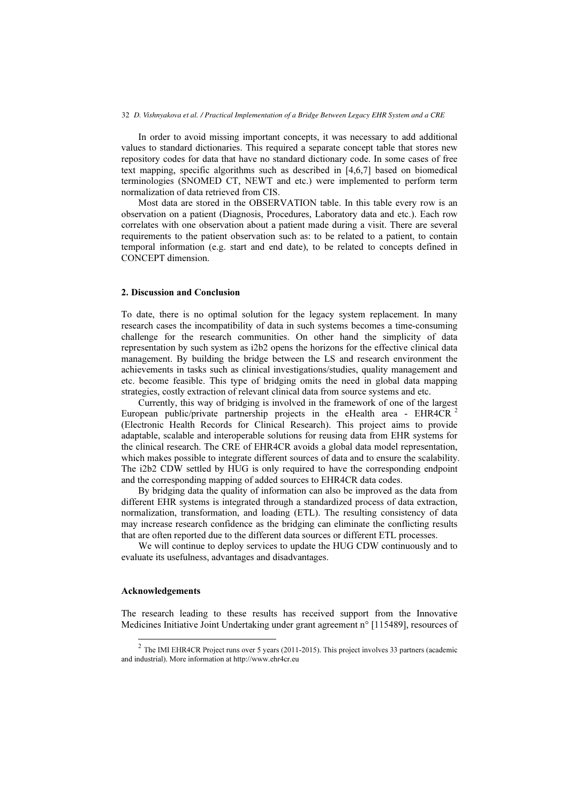#### 32 *D. Vishnyakova et al. / Practical Implementation of a Bridge Between Legacy EHR System and a CRE*

In order to avoid missing important concepts, it was necessary to add additional values to standard dictionaries. This required a separate concept table that stores new repository codes for data that have no standard dictionary code. In some cases of free text mapping, specific algorithms such as described in [4,6,7] based on biomedical terminologies (SNOMED CT, NEWT and etc.) were implemented to perform term normalization of data retrieved from CIS.

Most data are stored in the OBSERVATION table. In this table every row is an observation on a patient (Diagnosis, Procedures, Laboratory data and etc.). Each row correlates with one observation about a patient made during a visit. There are several requirements to the patient observation such as: to be related to a patient, to contain temporal information (e.g. start and end date), to be related to concepts defined in CONCEPT dimension.

#### 2. Discussion and Conclusion

To date, there is no optimal solution for the legacy system replacement. In many research cases the incompatibility of data in such systems becomes a time-consuming challenge for the research communities. On other hand the simplicity of data representation by such system as i2b2 opens the horizons for the effective clinical data management. By building the bridge between the LS and research environment the achievements in tasks such as clinical investigations/studies, quality management and etc. become feasible. This type of bridging omits the need in global data mapping strategies, costly extraction of relevant clinical data from source systems and etc.

Currently, this way of bridging is involved in the framework of one of the largest European public/private partnership projects in the eHealth area - EHR4CR<sup>2</sup> (Electronic Health Records for Clinical Research). This project aims to provide adaptable, scalable and interoperable solutions for reusing data from EHR systems for the clinical research. The CRE of EHR4CR avoids a global data model representation, which makes possible to integrate different sources of data and to ensure the scalability. The i2b2 CDW settled by HUG is only required to have the corresponding endpoint and the corresponding mapping of added sources to EHR4CR data codes.

By bridging data the quality of information can also be improved as the data from different EHR systems is integrated through a standardized process of data extraction, normalization, transformation, and loading (ETL). The resulting consistency of data may increase research confidence as the bridging can eliminate the conflicting results that are often reported due to the different data sources or different ETL processes.

We will continue to deploy services to update the HUG CDW continuously and to evaluate its usefulness, advantages and disadvantages.

#### Acknowledgements

-

The research leading to these results has received support from the Innovative Medicines Initiative Joint Undertaking under grant agreement n° [115489], resources of

<sup>&</sup>lt;sup>2</sup> The IMI EHR4CR Project runs over 5 years (2011-2015). This project involves 33 partners (academic and industrial). More information at http://www.ehr4cr.eu